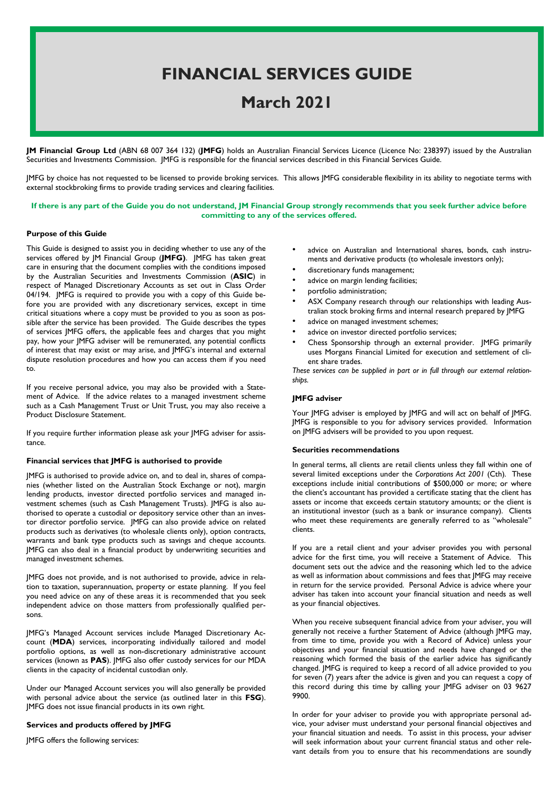# **FINANCIAL SERVICES GUIDE**

## **March 2021**

**JM Financial Group Ltd** (ABN 68 007 364 132) (**JMFG**) holds an Australian Financial Services Licence (Licence No: 238397) issued by the Australian Securities and Investments Commission. JMFG is responsible for the financial services described in this Financial Services Guide.

JMFG by choice has not requested to be licensed to provide broking services. This allows JMFG considerable flexibility in its ability to negotiate terms with external stockbroking firms to provide trading services and clearing facilities.

## If there is any part of the Guide you do not understand, JM Financial Group strongly recommends that you seek further advice before **committing to any of the services offered.**

#### **Purpose of this Guide**

This Guide is designed to assist you in deciding whether to use any of the services offered by JM Financial Group (**JMFG)**. JMFG has taken great care in ensuring that the document complies with the conditions imposed by the Australian Securities and Investments Commission (**ASIC**) in respect of Managed Discretionary Accounts as set out in Class Order 04/194. IMFG is required to provide you with a copy of this Guide before you are provided with any discretionary services, except in time critical situations where a copy must be provided to you as soon as possible after the service has been provided. The Guide describes the types of services JMFG offers, the applicable fees and charges that you might pay, how your JMFG adviser will be remunerated, any potential conflicts of interest that may exist or may arise, and JMFG's internal and external dispute resolution procedures and how you can access them if you need to.

If you receive personal advice, you may also be provided with a Statement of Advice. If the advice relates to a managed investment scheme such as a Cash Management Trust or Unit Trust, you may also receive a Product Disclosure Statement.

If you require further information please ask your JMFG adviser for assistance.

## **Financial services that JMFG is authorised to provide**

JMFG is authorised to provide advice on, and to deal in, shares of companies (whether listed on the Australian Stock Exchange or not), margin lending products, investor directed portfolio services and managed investment schemes (such as Cash Management Trusts). JMFG is also authorised to operate a custodial or depository service other than an investor director portfolio service. JMFG can also provide advice on related products such as derivatives (to wholesale clients only), option contracts, warrants and bank type products such as savings and cheque accounts. JMFG can also deal in a financial product by underwriting securities and managed investment schemes.

JMFG does not provide, and is not authorised to provide, advice in relation to taxation, superannuation, property or estate planning. If you feel you need advice on any of these areas it is recommended that you seek independent advice on those matters from professionally qualified persons.

JMFG's Managed Account services include Managed Discretionary Account (**MDA**) services, incorporating individually tailored and model portfolio options, as well as non-discretionary administrative account services (known as **PAS**). JMFG also offer custody services for our MDA clients in the capacity of incidental custodian only.

Under our Managed Account services you will also generally be provided with personal advice about the service (as outlined later in this **FSG**). JMFG does not issue financial products in its own right.

#### **Services and products offered by JMFG**

JMFG offers the following services:

- advice on Australian and International shares, bonds, cash instruments and derivative products (to wholesale investors only);
- discretionary funds management;
- advice on margin lending facilities;
- portfolio administration;
- ASX Company research through our relationships with leading Australian stock broking firms and internal research prepared by JMFG
- advice on managed investment schemes;
- advice on investor directed portfolio services;
- Chess Sponsorship through an external provider. JMFG primarily uses Morgans Financial Limited for execution and settlement of client share trades.

*These services can be supplied in part or in full through our external relationships.*

#### **JMFG adviser**

Your JMFG adviser is employed by JMFG and will act on behalf of JMFG. JMFG is responsible to you for advisory services provided. Information on JMFG advisers will be provided to you upon request.

## **Securities recommendations**

In general terms, all clients are retail clients unless they fall within one of several limited exceptions under the *Corporations Act 2001* (Cth). These exceptions include initial contributions of \$500,000 or more; or where the client's accountant has provided a certificate stating that the client has assets or income that exceeds certain statutory amounts; or the client is an institutional investor (such as a bank or insurance company). Clients who meet these requirements are generally referred to as "wholesale" clients.

If you are a retail client and your adviser provides you with personal advice for the first time, you will receive a Statement of Advice. This document sets out the advice and the reasoning which led to the advice as well as information about commissions and fees that JMFG may receive in return for the service provided. Personal Advice is advice where your adviser has taken into account your financial situation and needs as well as your financial objectives.

When you receive subsequent financial advice from your adviser, you will generally not receive a further Statement of Advice (although JMFG may, from time to time, provide you with a Record of Advice) unless your objectives and your financial situation and needs have changed or the reasoning which formed the basis of the earlier advice has significantly changed. JMFG is required to keep a record of all advice provided to you for seven (7) years after the advice is given and you can request a copy of this record during this time by calling your JMFG adviser on 03 9627 9900.

In order for your adviser to provide you with appropriate personal advice, your adviser must understand your personal financial objectives and your financial situation and needs. To assist in this process, your adviser will seek information about your current financial status and other relevant details from you to ensure that his recommendations are soundly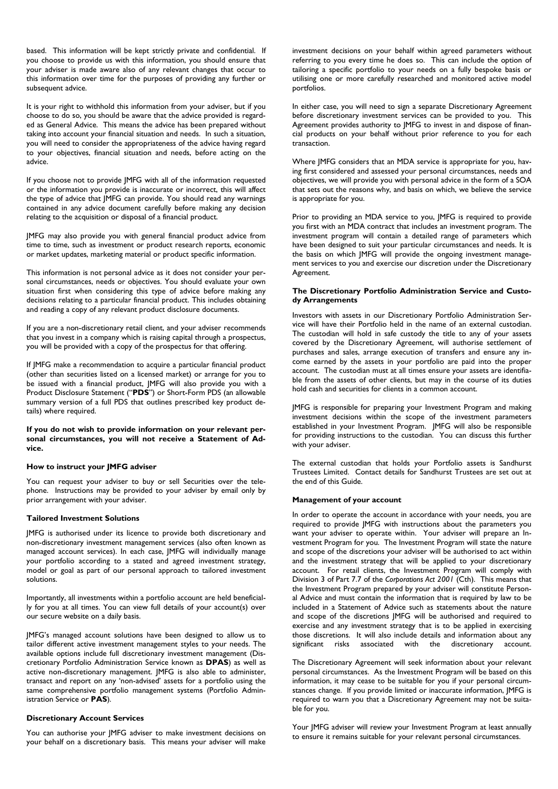based. This information will be kept strictly private and confidential. If you choose to provide us with this information, you should ensure that your adviser is made aware also of any relevant changes that occur to this information over time for the purposes of providing any further or subsequent advice.

It is your right to withhold this information from your adviser, but if you choose to do so, you should be aware that the advice provided is regarded as General Advice. This means the advice has been prepared without taking into account your financial situation and needs. In such a situation, you will need to consider the appropriateness of the advice having regard to your objectives, financial situation and needs, before acting on the advice.

If you choose not to provide JMFG with all of the information requested or the information you provide is inaccurate or incorrect, this will affect the type of advice that JMFG can provide. You should read any warnings contained in any advice document carefully before making any decision relating to the acquisition or disposal of a financial product.

JMFG may also provide you with general financial product advice from time to time, such as investment or product research reports, economic or market updates, marketing material or product specific information.

This information is not personal advice as it does not consider your personal circumstances, needs or objectives. You should evaluate your own situation first when considering this type of advice before making any decisions relating to a particular financial product. This includes obtaining and reading a copy of any relevant product disclosure documents.

If you are a non-discretionary retail client, and your adviser recommends that you invest in a company which is raising capital through a prospectus, you will be provided with a copy of the prospectus for that offering.

If JMFG make a recommendation to acquire a particular financial product (other than securities listed on a licensed market) or arrange for you to be issued with a financial product, JMFG will also provide you with a Product Disclosure Statement ("**PDS**") or Short-Form PDS (an allowable summary version of a full PDS that outlines prescribed key product details) where required.

**If you do not wish to provide information on your relevant personal circumstances, you will not receive a Statement of Advice.**

#### **How to instruct your JMFG adviser**

You can request your adviser to buy or sell Securities over the telephone. Instructions may be provided to your adviser by email only by prior arrangement with your adviser.

## **Tailored Investment Solutions**

JMFG is authorised under its licence to provide both discretionary and non-discretionary investment management services (also often known as managed account services). In each case, JMFG will individually manage your portfolio according to a stated and agreed investment strategy, model or goal as part of our personal approach to tailored investment solutions.

Importantly, all investments within a portfolio account are held beneficially for you at all times. You can view full details of your account(s) over our secure website on a daily basis.

JMFG's managed account solutions have been designed to allow us to tailor different active investment management styles to your needs. The available options include full discretionary investment management (Discretionary Portfolio Administration Service known as **DPAS**) as well as active non-discretionary management. JMFG is also able to administer, transact and report on any 'non-advised' assets for a portfolio using the same comprehensive portfolio management systems (Portfolio Administration Service or **PAS**).

## **Discretionary Account Services**

You can authorise your JMFG adviser to make investment decisions on your behalf on a discretionary basis. This means your adviser will make

investment decisions on your behalf within agreed parameters without referring to you every time he does so. This can include the option of tailoring a specific portfolio to your needs on a fully bespoke basis or utilising one or more carefully researched and monitored active model portfolios.

In either case, you will need to sign a separate Discretionary Agreement before discretionary investment services can be provided to you. This Agreement provides authority to JMFG to invest in and dispose of financial products on your behalf without prior reference to you for each transaction.

Where JMFG considers that an MDA service is appropriate for you, having first considered and assessed your personal circumstances, needs and objectives, we will provide you with personal advice in the form of a SOA that sets out the reasons why, and basis on which, we believe the service is appropriate for you.

Prior to providing an MDA service to you, JMFG is required to provide you first with an MDA contract that includes an investment program. The investment program will contain a detailed range of parameters which have been designed to suit your particular circumstances and needs. It is the basis on which JMFG will provide the ongoing investment management services to you and exercise our discretion under the Discretionary Agreement.

## **The Discretionary Portfolio Administration Service and Custody Arrangements**

Investors with assets in our Discretionary Portfolio Administration Service will have their Portfolio held in the name of an external custodian. The custodian will hold in safe custody the title to any of your assets covered by the Discretionary Agreement, will authorise settlement of purchases and sales, arrange execution of transfers and ensure any income earned by the assets in your portfolio are paid into the proper account. The custodian must at all times ensure your assets are identifiable from the assets of other clients, but may in the course of its duties hold cash and securities for clients in a common account.

JMFG is responsible for preparing your Investment Program and making investment decisions within the scope of the investment parameters established in your Investment Program. JMFG will also be responsible for providing instructions to the custodian. You can discuss this further with your adviser.

The external custodian that holds your Portfolio assets is Sandhurst Trustees Limited. Contact details for Sandhurst Trustees are set out at the end of this Guide.

## **Management of your account**

In order to operate the account in accordance with your needs, you are required to provide JMFG with instructions about the parameters you want your adviser to operate within. Your adviser will prepare an Investment Program for you. The Investment Program will state the nature and scope of the discretions your adviser will be authorised to act within and the investment strategy that will be applied to your discretionary account. For retail clients, the Investment Program will comply with Division 3 of Part 7.7 of the *Corporations Act 2001* (Cth). This means that the Investment Program prepared by your adviser will constitute Personal Advice and must contain the information that is required by law to be included in a Statement of Advice such as statements about the nature and scope of the discretions JMFG will be authorised and required to exercise and any investment strategy that is to be applied in exercising those discretions. It will also include details and information about any significant risks associated with the discretionary account.

The Discretionary Agreement will seek information about your relevant personal circumstances. As the Investment Program will be based on this information, it may cease to be suitable for you if your personal circumstances change. If you provide limited or inaccurate information, JMFG is required to warn you that a Discretionary Agreement may not be suitable for you.

Your JMFG adviser will review your Investment Program at least annually to ensure it remains suitable for your relevant personal circumstances.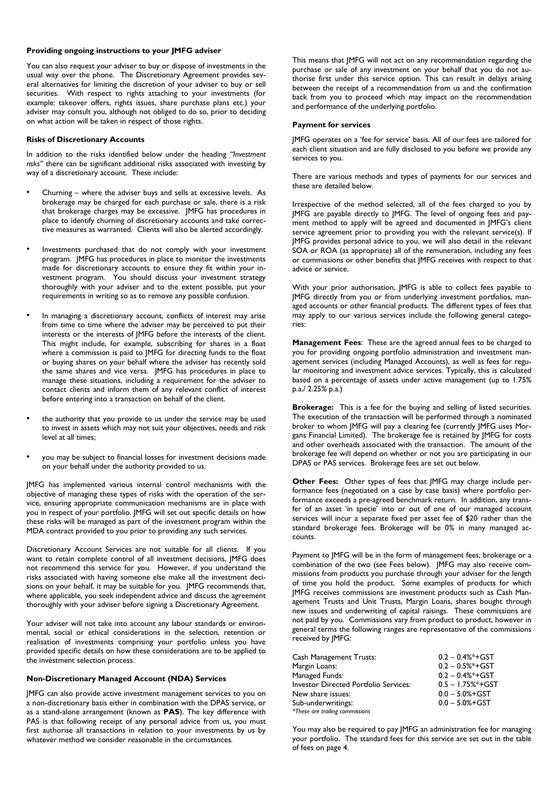#### **Providing ongoing instructions to your JMFG adviser**

You can also request your adviser to buy or dispose of investments in the usual way over the phone. The Discretionary Agreement provides several alternatives for limiting the discretion of your adviser to buy or sell securities. With respect to rights attaching to your investments (for example: takeover offers, rights issues, share purchase plans etc.) your adviser may consult you, although not obliged to do so, prior to deciding on what action will be taken in respect of those rights.

## **Risks of Discretionary Accounts**

In addition to the risks identified below under the heading *"Investment risks"* there can be significant additional risks associated with investing by way of a discretionary account. These include:

- Churning where the adviser buys and sells at excessive levels. As brokerage may be charged for each purchase or sale, there is a risk that brokerage charges may be excessive. JMFG has procedures in place to identify churning of discretionary accounts and take corrective measures as warranted. Clients will also be alerted accordingly.
- Investments purchased that do not comply with your investment program. JMFG has procedures in place to monitor the investments made for discretionary accounts to ensure they fit within your investment program. You should discuss your investment strategy thoroughly with your adviser and to the extent possible, put your requirements in writing so as to remove any possible confusion.
- In managing a discretionary account, conflicts of interest may arise from time to time where the adviser may be perceived to put their interests or the interests of JMFG before the interests of the client. This might include, for example, subscribing for shares in a float where a commission is paid to JMFG for directing funds to the float or buying shares on your behalf where the adviser has recently sold the same shares and vice versa. JMFG has procedures in place to manage these situations, including a requirement for the adviser to contact clients and inform them of any relevant conflict of interest before entering into a transaction on behalf of the client.
- the authority that you provide to us under the service may be used to invest in assets which may not suit your objectives, needs and risk level at all times;
- you may be subject to financial losses for investment decisions made on your behalf under the authority provided to us.

JMFG has implemented various internal control mechanisms with the objective of managing these types of risks with the operation of the service, ensuring appropriate communication mechanisms are in place with you in respect of your portfolio. JMFG will set out specific details on how these risks will be managed as part of the investment program within the MDA contract provided to you prior to providing any such services.

Discretionary Account Services are not suitable for all clients. If you want to retain complete control of all investment decisions, JMFG does not recommend this service for you. However, if you understand the risks associated with having someone else make all the investment decisions on your behalf, it may be suitable for you. JMFG recommends that, where applicable, you seek independent advice and discuss the agreement thoroughly with your adviser before signing a Discretionary Agreement.

Your adviser will not take into account any labour standards or environmental, social or ethical considerations in the selection, retention or realisation of investments comprising your portfolio unless you have provided specific details on how these considerations are to be applied to the investment selection process.

#### **Non-Discretionary Managed Account (NDA) Services**

JMFG can also provide active investment management services to you on a non-discretionary basis either in combination with the DPAS service, or as a stand-alone arrangement (known as **PAS**). The key difference with PAS is that following receipt of any personal advice from us, you must first authorise all transactions in relation to your investments by us by whatever method we consider reasonable in the circumstances.

This means that JMFG will not act on any recommendation regarding the purchase or sale of any investment on your behalf that you do not authorise first under this service option. This can result in delays arising between the receipt of a recommendation from us and the confirmation back from you to proceed which may impact on the recommendation and performance of the underlying portfolio.

#### **Payment for services**

JMFG operates on a 'fee for service' basis. All of our fees are tailored for each client situation and are fully disclosed to you before we provide any services to you.

There are various methods and types of payments for our services and these are detailed below.

Irrespective of the method selected, all of the fees charged to you by JMFG are payable directly to JMFG. The level of ongoing fees and payment method to apply will be agreed and documented in JMFG's client service agreement prior to providing you with the relevant service(s). If JMFG provides personal advice to you, we will also detail in the relevant SOA or ROA (as appropriate) all of the remuneration, including any fees or commissions or other benefits that JMFG receives with respect to that advice or service.

With your prior authorisation, JMFG is able to collect fees payable to JMFG directly from you or from underlying investment portfolios, managed accounts or other financial products. The different types of fees that may apply to our various services include the following general categories:

**Management Fees**: These are the agreed annual fees to be charged to you for providing ongoing portfolio administration and investment management services (including Managed Accounts), as well as fees for regular monitoring and investment advice services. Typically, this is calculated based on a percentage of assets under active management (up to 1.75% p.a./ 2.25% p.a.)

**Brokerage:** This is a fee for the buying and selling of listed securities. The execution of the transaction will be performed through a nominated broker to whom JMFG will pay a clearing fee (currently JMFG uses Morgans Financial Limited). The brokerage fee is retained by JMFG for costs and other overheads associated with the transaction. The amount of the brokerage fee will depend on whether or not you are participating in our DPAS or PAS services. Brokerage fees are set out below.

**Other Fees:** Other types of fees that JMFG may charge include performance fees (negotiated on a case by case basis) where portfolio performance exceeds a pre-agreed benchmark return. In addition, any transfer of an asset 'in specie' into or out of one of our managed account services will incur a separate fixed per asset fee of \$20 rather than the standard brokerage fees. Brokerage will be 0% in many managed accounts.

Payment to JMFG will be in the form of management fees, brokerage or a combination of the two (see Fees below). JMFG may also receive commissions from products you purchase through your adviser for the length of time you hold the product. Some examples of products for which JMFG receives commissions are investment products such as Cash Management Trusts and Unit Trusts, Margin Loans, shares bought through new issues and underwriting of capital raisings. These commissions are not paid by you. Commissions vary from product to product, however in general terms the following ranges are representative of the commissions received by JMFG:

| Cash Management Trusts:                      | $0.2 - 0.4% + GST$  |
|----------------------------------------------|---------------------|
| Margin Loans:                                | $0.2 - 0.5% + GST$  |
| Managed Funds:                               | $0.2 - 0.4% + GST$  |
| <b>Investor Directed Portfolio Services:</b> | $0.5 - 1.75% + GST$ |
| New share issues:                            | $0.0 - 5.0% + GST$  |
| Sub-underwritings:                           | $0.0 - 5.0% + GST$  |
| *These are trailing commissions              |                     |

You may also be required to pay JMFG an administration fee for managing your portfolio. The standard fees for this service are set out in the table of fees on page 4.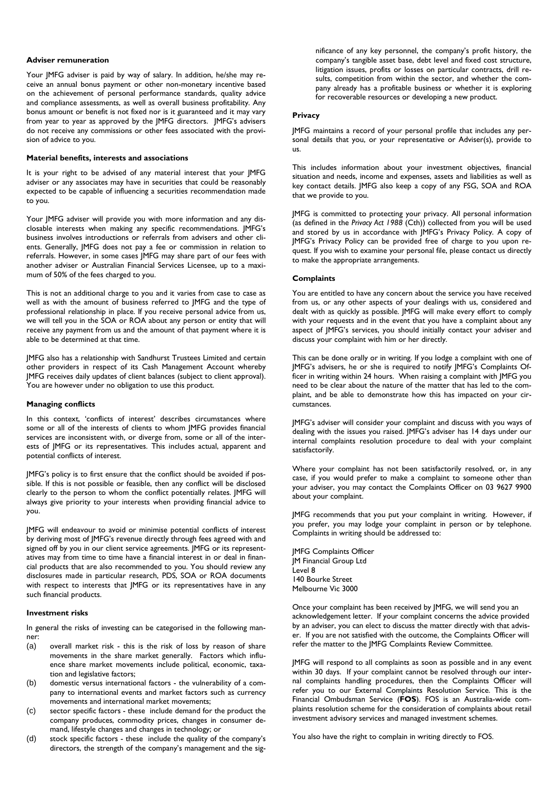#### **Adviser remuneration**

Your JMFG adviser is paid by way of salary. In addition, he/she may receive an annual bonus payment or other non-monetary incentive based on the achievement of personal performance standards, quality advice and compliance assessments, as well as overall business profitability. Any bonus amount or benefit is not fixed nor is it guaranteed and it may vary from year to year as approved by the JMFG directors. JMFG's advisers do not receive any commissions or other fees associated with the provision of advice to you.

## **Material benefits, interests and associations**

It is your right to be advised of any material interest that your JMFG adviser or any associates may have in securities that could be reasonably expected to be capable of influencing a securities recommendation made to you.

Your JMFG adviser will provide you with more information and any disclosable interests when making any specific recommendations. JMFG's business involves introductions or referrals from advisers and other clients. Generally, JMFG does not pay a fee or commission in relation to referrals. However, in some cases JMFG may share part of our fees with another adviser or Australian Financial Services Licensee, up to a maximum of 50% of the fees charged to you.

This is not an additional charge to you and it varies from case to case as well as with the amount of business referred to JMFG and the type of professional relationship in place. If you receive personal advice from us, we will tell you in the SOA or ROA about any person or entity that will receive any payment from us and the amount of that payment where it is able to be determined at that time.

JMFG also has a relationship with Sandhurst Trustees Limited and certain other providers in respect of its Cash Management Account whereby JMFG receives daily updates of client balances (subject to client approval). You are however under no obligation to use this product.

#### **Managing conflicts**

In this context, 'conflicts of interest' describes circumstances where some or all of the interests of clients to whom JMFG provides financial services are inconsistent with, or diverge from, some or all of the interests of JMFG or its representatives. This includes actual, apparent and potential conflicts of interest.

JMFG's policy is to first ensure that the conflict should be avoided if possible. If this is not possible or feasible, then any conflict will be disclosed clearly to the person to whom the conflict potentially relates. JMFG will always give priority to your interests when providing financial advice to you.

JMFG will endeavour to avoid or minimise potential conflicts of interest by deriving most of JMFG's revenue directly through fees agreed with and signed off by you in our client service agreements. JMFG or its representatives may from time to time have a financial interest in or deal in financial products that are also recommended to you. You should review any disclosures made in particular research, PDS, SOA or ROA documents with respect to interests that JMFG or its representatives have in any such financial products.

## **Investment risks**

In general the risks of investing can be categorised in the following manner:

- (a) overall market risk this is the risk of loss by reason of share movements in the share market generally. Factors which influence share market movements include political, economic, taxation and legislative factors;
- (b) domestic versus international factors the vulnerability of a company to international events and market factors such as currency movements and international market movements;
- (c) sector specific factors these include demand for the product the company produces, commodity prices, changes in consumer demand, lifestyle changes and changes in technology; or
- (d) stock specific factors these include the quality of the company's directors, the strength of the company's management and the sig-

nificance of any key personnel, the company's profit history, the company's tangible asset base, debt level and fixed cost structure, litigation issues, profits or losses on particular contracts, drill results, competition from within the sector, and whether the company already has a profitable business or whether it is exploring for recoverable resources or developing a new product.

#### **Privacy**

JMFG maintains a record of your personal profile that includes any personal details that you, or your representative or Adviser(s), provide to us.

This includes information about your investment objectives, financial situation and needs, income and expenses, assets and liabilities as well as key contact details. JMFG also keep a copy of any FSG, SOA and ROA that we provide to you.

JMFG is committed to protecting your privacy. All personal information (as defined in the *Privacy Act 1988* (Cth)) collected from you will be used and stored by us in accordance with *MFG's Privacy Policy*. A copy of JMFG's Privacy Policy can be provided free of charge to you upon request. If you wish to examine your personal file, please contact us directly to make the appropriate arrangements.

#### **Complaints**

You are entitled to have any concern about the service you have received from us, or any other aspects of your dealings with us, considered and dealt with as quickly as possible. JMFG will make every effort to comply with your requests and in the event that you have a complaint about any aspect of JMFG's services, you should initially contact your adviser and discuss your complaint with him or her directly.

This can be done orally or in writing. If you lodge a complaint with one of JMFG's advisers, he or she is required to notify JMFG's Complaints Officer in writing within 24 hours. When raising a complaint with JMFG you need to be clear about the nature of the matter that has led to the complaint, and be able to demonstrate how this has impacted on your circumstances.

JMFG's adviser will consider your complaint and discuss with you ways of dealing with the issues you raised. JMFG's adviser has 14 days under our internal complaints resolution procedure to deal with your complaint satisfactorily.

Where your complaint has not been satisfactorily resolved, or, in any case, if you would prefer to make a complaint to someone other than your adviser, you may contact the Complaints Officer on 03 9627 9900 about your complaint.

JMFG recommends that you put your complaint in writing. However, if you prefer, you may lodge your complaint in person or by telephone. Complaints in writing should be addressed to:

JMFG Complaints Officer JM Financial Group Ltd Level 8 140 Bourke Street Melbourne Vic 3000

Once your complaint has been received by JMFG, we will send you an acknowledgement letter. If your complaint concerns the advice provided by an adviser, you can elect to discuss the matter directly with that adviser. If you are not satisfied with the outcome, the Complaints Officer will refer the matter to the JMFG Complaints Review Committee.

JMFG will respond to all complaints as soon as possible and in any event within 30 days. If your complaint cannot be resolved through our internal complaints handling procedures, then the Complaints Officer will refer you to our External Complaints Resolution Service. This is the Financial Ombudsman Service (**FOS**). FOS is an Australia-wide complaints resolution scheme for the consideration of complaints about retail investment advisory services and managed investment schemes.

You also have the right to complain in writing directly to FOS.